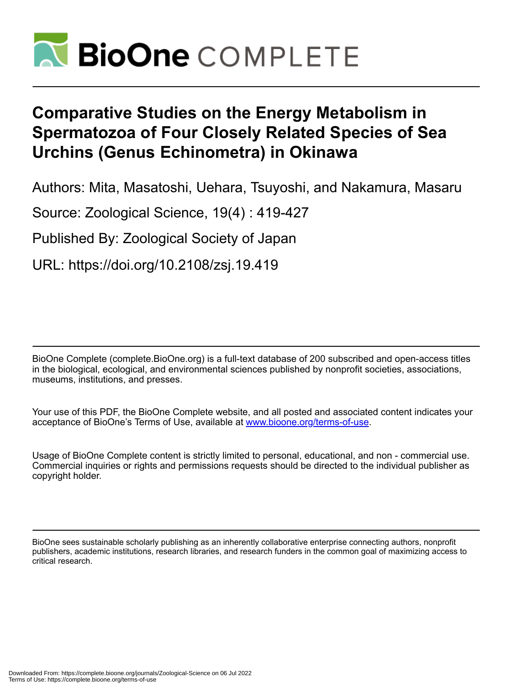

# **Comparative Studies on the Energy Metabolism in Spermatozoa of Four Closely Related Species of Sea Urchins (Genus Echinometra) in Okinawa**

Authors: Mita, Masatoshi, Uehara, Tsuyoshi, and Nakamura, Masaru

Source: Zoological Science, 19(4) : 419-427

Published By: Zoological Society of Japan

URL: https://doi.org/10.2108/zsj.19.419

BioOne Complete (complete.BioOne.org) is a full-text database of 200 subscribed and open-access titles in the biological, ecological, and environmental sciences published by nonprofit societies, associations, museums, institutions, and presses.

Your use of this PDF, the BioOne Complete website, and all posted and associated content indicates your acceptance of BioOne's Terms of Use, available at www.bioone.org/terms-of-use.

Usage of BioOne Complete content is strictly limited to personal, educational, and non - commercial use. Commercial inquiries or rights and permissions requests should be directed to the individual publisher as copyright holder.

BioOne sees sustainable scholarly publishing as an inherently collaborative enterprise connecting authors, nonprofit publishers, academic institutions, research libraries, and research funders in the common goal of maximizing access to critical research.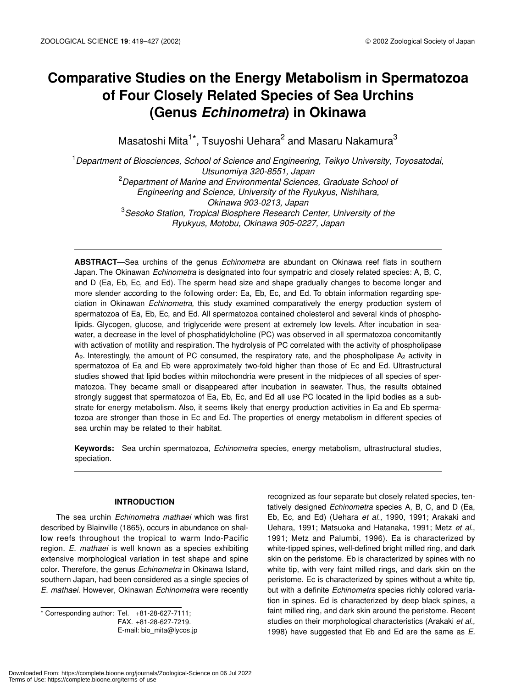# **Comparative Studies on the Energy Metabolism in Spermatozoa of Four Closely Related Species of Sea Urchins (Genus** *Echinometra***) in Okinawa**

Masatoshi Mita<sup>1\*</sup>, Tsuyoshi Uehara<sup>2</sup> and Masaru Nakamura<sup>3</sup>

1 *Department of Biosciences, School of Science and Engineering, Teikyo University, Toyosatodai, Utsunomiya 320-8551, Japan* 2 *Department of Marine and Environmental Sciences, Graduate School of Engineering and Science, University of the Ryukyus, Nishihara, Okinawa 903-0213, Japan* 3 *Sesoko Station, Tropical Biosphere Research Center, University of the Ryukyus, Motobu, Okinawa 905-0227, Japan*

**ABSTRACT**—Sea urchins of the genus *Echinometra* are abundant on Okinawa reef flats in southern Japan. The Okinawan *Echinometra* is designated into four sympatric and closely related species: A, B, C, and D (Ea, Eb, Ec, and Ed). The sperm head size and shape gradually changes to become longer and more slender according to the following order: Ea, Eb, Ec, and Ed. To obtain information regarding speciation in Okinawan *Echinometra*, this study examined comparatively the energy production system of spermatozoa of Ea, Eb, Ec, and Ed. All spermatozoa contained cholesterol and several kinds of phospholipids. Glycogen, glucose, and triglyceride were present at extremely low levels. After incubation in seawater, a decrease in the level of phosphatidylcholine (PC) was observed in all spermatozoa concomitantly with activation of motility and respiration. The hydrolysis of PC correlated with the activity of phospholipase  $A_2$ . Interestingly, the amount of PC consumed, the respiratory rate, and the phospholipase  $A_2$  activity in spermatozoa of Ea and Eb were approximately two-fold higher than those of Ec and Ed. Ultrastructural studies showed that lipid bodies within mitochondria were present in the midpieces of all species of spermatozoa. They became small or disappeared after incubation in seawater. Thus, the results obtained strongly suggest that spermatozoa of Ea, Eb, Ec, and Ed all use PC located in the lipid bodies as a substrate for energy metabolism. Also, it seems likely that energy production activities in Ea and Eb spermatozoa are stronger than those in Ec and Ed. The properties of energy metabolism in different species of sea urchin may be related to their habitat.

**Keywords:** Sea urchin spermatozoa, *Echinometra* species, energy metabolism, ultrastructural studies, speciation.

# **INTRODUCTION**

The sea urchin *Echinometra mathaei* which was first described by Blainville (1865), occurs in abundance on shallow reefs throughout the tropical to warm Indo-Pacific region. *E. mathaei* is well known as a species exhibiting extensive morphological variation in test shape and spine color. Therefore, the genus *Echinometra* in Okinawa Island, southern Japan, had been considered as a single species of *E. mathaei*. However, Okinawan *Echinometra* were recently

\* Corresponding author: Tel. +81-28-627-7111; FAX. +81-28-627-7219. E-mail: bio\_mita@lycos.jp recognized as four separate but closely related species, tentatively designed *Echinometra* species A, B, C, and D (Ea, Eb, Ec, and Ed) (Uehara *et al.*, 1990, 1991; Arakaki and Uehara, 1991; Matsuoka and Hatanaka, 1991; Metz *et al*., 1991; Metz and Palumbi, 1996). Ea is characterized by white-tipped spines, well-defined bright milled ring, and dark skin on the peristome. Eb is characterized by spines with no white tip, with very faint milled rings, and dark skin on the peristome. Ec is characterized by spines without a white tip, but with a definite *Echinometra* species richly colored variation in spines. Ed is characterized by deep black spines, a faint milled ring, and dark skin around the peristome. Recent studies on their morphological characteristics (Arakaki *et al.*, 1998) have suggested that Eb and Ed are the same as *E.*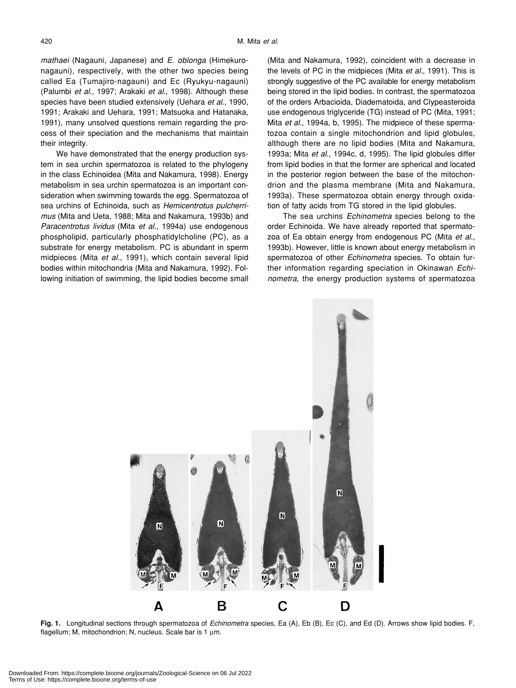*mathaei* (Nagauni, Japanese) and *E. oblonga* (Himekuronagauni), respectively, with the other two species being called Ea (Tumajiro-nagauni) and Ec (Ryukyu-nagauni) (Palumbi *et al.*, 1997; Arakaki *et al.*, 1998). Although these species have been studied extensively (Uehara *et al.*, 1990, 1991; Arakaki and Uehara, 1991; Matsuoka and Hatanaka, 1991), many unsolved questions remain regarding the process of their speciation and the mechanisms that maintain their integrity.

We have demonstrated that the energy production system in sea urchin spermatozoa is related to the phylogeny in the class Echinoidea (Mita and Nakamura, 1998). Energy metabolism in sea urchin spermatozoa is an important consideration when swimming towards the egg. Spermatozoa of sea urchins of Echinoida, such as *Hemicentrotus pulcherrimus* (Mita and Ueta, 1988; Mita and Nakamura, 1993b) and *Paracentrotus lividus* (Mita *et al.*, 1994a) use endogenous phospholipid, particularly phosphatidylcholine (PC), as a substrate for energy metabolism. PC is abundant in sperm midpieces (Mita *et al.*, 1991), which contain several lipid bodies within mitochondria (Mita and Nakamura, 1992). Following initiation of swimming, the lipid bodies become small

(Mita and Nakamura, 1992), coincident with a decrease in the levels of PC in the midpieces (Mita *et al.*, 1991). This is strongly suggestive of the PC available for energy metabolism being stored in the lipid bodies. In contrast, the spermatozoa of the orders Arbacioida, Diadematoida, and Clypeasteroida use endogenous triglyceride (TG) instead of PC (Mita, 1991; Mita *et al.*, 1994a, b, 1995). The midpiece of these spermatozoa contain a single mitochondrion and lipid globules, although there are no lipid bodies (Mita and Nakamura, 1993a; Mita *et al*., 1994c, d, 1995). The lipid globules differ from lipid bodies in that the former are spherical and located in the posterior region between the base of the mitochondrion and the plasma membrane (Mita and Nakamura, 1993a). These spermatozoa obtain energy through oxidation of fatty acids from TG stored in the lipid globules.

The sea urchins *Echinometra* species belong to the order Echinoida. We have already reported that spermatozoa of Ea obtain energy from endogenous PC (Mita *et al.*, 1993b). However, little is known about energy metabolism in spermatozoa of other *Echinometra* species. To obtain further information regarding speciation in Okinawan *Echinometra*, the energy production systems of spermatozoa



**Fig. 1.** Longitudinal sections through spermatozoa of *Echinometra* species, Ea (A), Eb (B), Ec (C), and Ed (D). Arrows show lipid bodies. F, flagellum; M, mitochondrion; N, nucleus. Scale bar is 1 µm.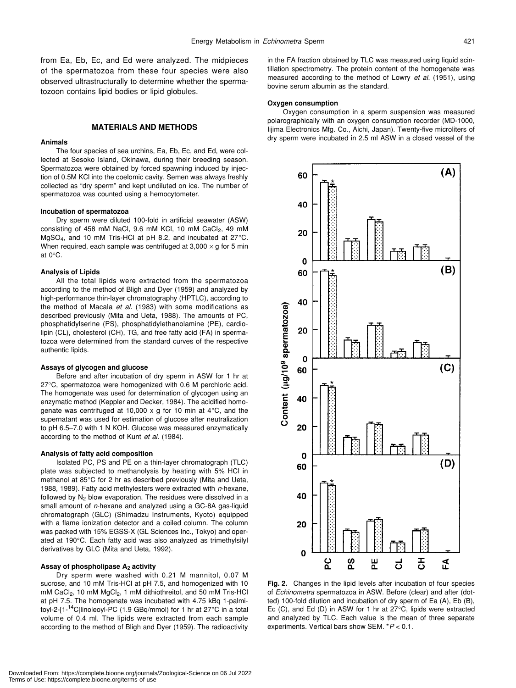from Ea, Eb, Ec, and Ed were analyzed. The midpieces of the spermatozoa from these four species were also observed ultrastructurally to determine whether the spermatozoon contains lipid bodies or lipid globules.

# **MATERIALS AND METHODS**

# **Animals**

The four species of sea urchins, Ea, Eb, Ec, and Ed, were collected at Sesoko Island, Okinawa, during their breeding season. Spermatozoa were obtained by forced spawning induced by injection of 0.5M KCl into the coelomic cavity. Semen was always freshly collected as "dry sperm" and kept undiluted on ice. The number of spermatozoa was counted using a hemocytometer.

#### **Incubation of spermatozoa**

Dry sperm were diluted 100-fold in artificial seawater (ASW) consisting of 458 mM NaCl, 9.6 mM KCl, 10 mM CaCl<sub>2</sub>, 49 mM MgSO4, and 10 mM Tris-HCl at pH 8.2, and incubated at 27°C. When required, each sample was centrifuged at  $3,000 \times g$  for 5 min at 0°C.

#### **Analysis of Lipids**

All the total lipids were extracted from the spermatozoa according to the method of Bligh and Dyer (1959) and analyzed by high-performance thin-layer chromatography (HPTLC), according to the method of Macala *et al.* (1983) with some modifications as described previously (Mita and Ueta, 1988). The amounts of PC, phosphatidylserine (PS), phosphatidylethanolamine (PE), cardiolipin (CL), cholesterol (CH), TG, and free fatty acid (FA) in spermatozoa were determined from the standard curves of the respective authentic lipids.

#### **Assays of glycogen and glucose**

Before and after incubation of dry sperm in ASW for 1 hr at 27°C, spermatozoa were homogenized with 0.6 M perchloric acid. The homogenate was used for determination of glycogen using an enzymatic method (Keppler and Decker, 1984). The acidified homogenate was centrifuged at 10,000  $\times$  g for 10 min at 4 $\degree$ C, and the supernatant was used for estimation of glucose after neutralization to pH 6.5–7.0 with 1 N KOH. Glucose was measured enzymatically according to the method of Kunt *et al.* (1984).

#### **Analysis of fatty acid composition**

Isolated PC, PS and PE on a thin-layer chromatograph (TLC) plate was subjected to methanolysis by heating with 5% HCl in methanol at 85°C for 2 hr as described previously (Mita and Ueta, 1988, 1989). Fatty acid methylesters were extracted with *n*-hexane, followed by  $N_2$  blow evaporation. The residues were dissolved in a small amount of *n*-hexane and analyzed using a GC-8A gas-liquid chromatograph (GLC) (Shimadzu Instruments, Kyoto) equipped with a flame ionization detector and a coiled column. The column was packed with 15% EGSS-X (GL Sciences Inc., Tokyo) and operated at 190°C. Each fatty acid was also analyzed as trimethylsilyl derivatives by GLC (Mita and Ueta, 1992).

# Assay of phospholipase A<sub>2</sub> activity

Dry sperm were washed with 0.21 M mannitol, 0.07 M sucrose, and 10 mM Tris-HCl at pH 7.5, and homogenized with 10 mM CaCl<sub>2</sub>, 10 mM MgCl<sub>2</sub>, 1 mM dithiothreitol, and 50 mM Tris-HCl at pH 7.5. The homogenate was incubated with 4.75 kBq 1-palmitoyl-2-[1-14C]linoleoyl-PC (1.9 GBq/mmol) for 1 hr at 27°C in a total volume of 0.4 ml. The lipids were extracted from each sample according to the method of Bligh and Dyer (1959). The radioactivity in the FA fraction obtained by TLC was measured using liquid scintillation spectrometry. The protein content of the homogenate was measured according to the method of Lowry *et al.* (1951), using bovine serum albumin as the standard.

#### **Oxygen consumption**

Oxygen consumption in a sperm suspension was measured polarographically with an oxygen consumption recorder (MD-1000, Iijima Electronics Mfg. Co., Aichi, Japan). Twenty-five microliters of dry sperm were incubated in 2.5 ml ASW in a closed vessel of the



**Fig. 2.** Changes in the lipid levels after incubation of four species of *Echinometra* spermatozoa in ASW. Before (clear) and after (dotted) 100-fold dilution and incubation of dry sperm of Ea (A), Eb (B), Ec (C), and Ed (D) in ASW for 1 hr at 27°C, lipids were extracted and analyzed by TLC. Each value is the mean of three separate experiments. Vertical bars show SEM. \**P* < 0.1.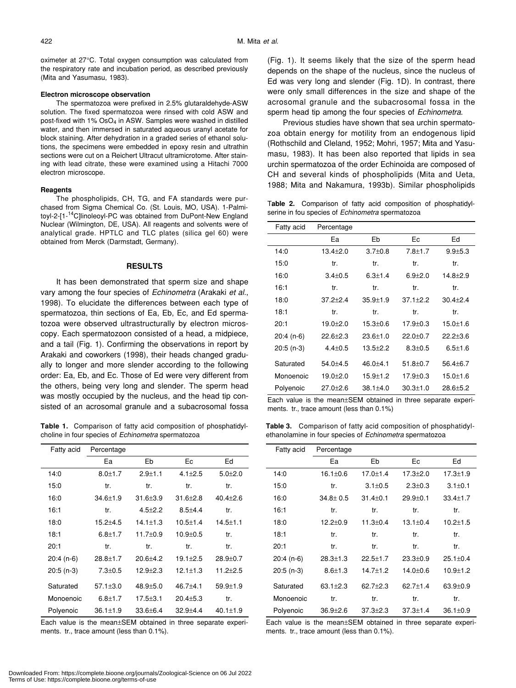oximeter at 27°C. Total oxygen consumption was calculated from the respiratory rate and incubation period, as described previously (Mita and Yasumasu, 1983).

#### **Electron microscope observation**

The spermatozoa were prefixed in 2.5% glutaraldehyde-ASW solution. The fixed spermatozoa were rinsed with cold ASW and post-fixed with 1% OsO<sub>4</sub> in ASW. Samples were washed in distilled water, and then immersed in saturated aqueous uranyl acetate for block staining. After dehydration in a graded series of ethanol solutions, the specimens were embedded in epoxy resin and ultrathin sections were cut on a Reichert Ultracut ultramicrotome. After staining with lead citrate, these were examined using a Hitachi 7000 electron microscope.

#### **Reagents**

The phospholipids, CH, TG, and FA standards were purchased from Sigma Chemical Co. (St. Louis, MO, USA). 1-Palmitoyl-2-[1-<sup>14</sup>C]linoleoyl-PC was obtained from DuPont-New England Nuclear (Wilmington, DE, USA). All reagents and solvents were of analytical grade. HPTLC and TLC plates (silica gel 60) were obtained from Merck (Darmstadt, Germany).

# **RESULTS**

It has been demonstrated that sperm size and shape vary among the four species of *Echinometra* (Arakaki *et al.*, 1998). To elucidate the differences between each type of spermatozoa, thin sections of Ea, Eb, Ec, and Ed spermatozoa were observed ultrastructurally by electron microscopy. Each spermatozoon consisted of a head, a midpiece, and a tail (Fig. 1). Confirming the observations in report by Arakaki and coworkers (1998), their heads changed gradually to longer and more slender according to the following order: Ea, Eb, and Ec. Those of Ed were very different from the others, being very long and slender. The sperm head was mostly occupied by the nucleus, and the head tip consisted of an acrosomal granule and a subacrosomal fossa

**Table 1.** Comparison of fatty acid composition of phosphatidylcholine in four species of *Echinometra* spermatozoa

| Fatty acid  | Percentage     |                |                |                |
|-------------|----------------|----------------|----------------|----------------|
|             | Ea             | Eb             | Ec             | Ed             |
| 14:0        | $8.0 \pm 1.7$  | $2.9 + 1.1$    | $4.1 \pm 2.5$  | $5.0 + 2.0$    |
| 15:0        | tr.            | tr.            | tr.            | tr.            |
| 16:0        | $34.6 \pm 1.9$ | $31.6 + 3.9$   | $31.6 + 2.8$   | $40.4 + 2.6$   |
| 16:1        | tr.            | $4.5 + 2.2$    | $8.5 + 4.4$    | tr.            |
| 18:0        | $15.2 + 4.5$   | $14.1 \pm 1.3$ | $10.5 \pm 1.4$ | $14.5 + 1.1$   |
| 18:1        | $6.8 + 1.7$    | $11.7 + 0.9$   | $10.9 + 0.5$   | tr.            |
| 20:1        | tr.            | tr.            | tr.            | tr.            |
| $20:4(n-6)$ | $28.8 \pm 1.7$ | $20.6 + 4.2$   | $19.1 + 2.5$   | $28.9 \pm 0.7$ |
| $20:5(n-3)$ | $7.3 \pm 0.5$  | $12.9 + 2.3$   | $12.1 \pm 1.3$ | $11.2 + 2.5$   |
| Saturated   | $57.1 \pm 3.0$ | $48.9 + 5.0$   | $46.7{\pm}4.1$ | $59.9 + 1.9$   |
| Monoenoic   | $6.8 + 1.7$    | $17.5 + 3.1$   | $20.4 + 5.3$   | tr.            |
| Polyenoic   | $36.1 \pm 1.9$ | $33.6 + 6.4$   | $32.9 + 4.4$   | $40.1 \pm 1.9$ |

Each value is the mean±SEM obtained in three separate experiments. tr., trace amount (less than 0.1%).

(Fig. 1). It seems likely that the size of the sperm head depends on the shape of the nucleus, since the nucleus of Ed was very long and slender (Fig. 1D). In contrast, there were only small differences in the size and shape of the acrosomal granule and the subacrosomal fossa in the sperm head tip among the four species of *Echinometra*.

Previous studies have shown that sea urchin spermatozoa obtain energy for motility from an endogenous lipid (Rothschild and Cleland, 1952; Mohri, 1957; Mita and Yasumasu, 1983). It has been also reported that lipids in sea urchin spermatozoa of the order Echinoida are composed of CH and several kinds of phospholipids (Mita and Ueta, 1988; Mita and Nakamura, 1993b). Similar phospholipids

T**able 2.** Comparison of fatty acid composition of phosphatidylserine in fou species of *Echinometra* spermatozoa

| Fatty acid  | Percentage   |                |                |              |
|-------------|--------------|----------------|----------------|--------------|
|             | Ea           | Eb             | Ec             | Ed           |
| 14:0        | $13.4 + 2.0$ | $3.7 + 0.8$    | $7.8 + 1.7$    | $9.9 + 5.3$  |
| 15:0        | tr.          | tr.            | tr.            | tr.          |
| 16:0        | $3.4 + 0.5$  | $6.3 + 1.4$    | $6.9 + 2.0$    | $14.8 + 2.9$ |
| 16:1        | tr.          | tr.            | tr.            | tr.          |
| 18:0        | $37.2 + 2.4$ | $35.9 \pm 1.9$ | $37.1 + 2.2$   | $30.4 + 2.4$ |
| 18:1        | tr.          | tr.            | tr.            | tr.          |
| 20:1        | $19.0 + 2.0$ | $15.3 + 0.6$   | $17.9 + 0.3$   | $15.0 + 1.6$ |
| 20:4 (n-6)  | $22.6 + 2.3$ | $23.6 \pm 1.0$ | $22.0 + 0.7$   | $22.2 + 3.6$ |
| $20:5(n-3)$ | $4.4 + 0.5$  | $13.5 + 2.2$   | $8.3 + 0.5$    | $6.5 + 1.6$  |
| Saturated   | $54.0 + 4.5$ | $46.0 + 4.1$   | $51.8 + 0.7$   | $56.4 + 6.7$ |
| Monoenoic   | $19.0 + 2.0$ | $15.9 + 1.2$   | $17.9 + 0.3$   | $15.0 + 1.6$ |
| Polyenoic   | $27.0 + 2.6$ | $38.1 + 4.0$   | $30.3 \pm 1.0$ | $28.6 + 5.2$ |

Each value is the mean±SEM obtained in three separate experiments. tr., trace amount (less than 0.1%)

**Table 3.** Comparison of fatty acid composition of phosphatidylethanolamine in four species of *Echinometra* spermatozoa

| Fatty acid  | Percentage     |                |                |                |
|-------------|----------------|----------------|----------------|----------------|
|             | Ea             | Eb             | Ec             | Ed             |
| 14:0        | $16.1 \pm 0.6$ | $17.0 + 1.4$   | $17.3 + 2.0$   | $17.3 \pm 1.9$ |
| 15:0        | tr.            | $3.1 \pm 0.5$  | $2.3 \pm 0.3$  | $3.1 \pm 0.1$  |
| 16:0        | $34.8 \pm 0.5$ | $31.4 \pm 0.1$ | $29.9 + 0.1$   | $33.4 \pm 1.7$ |
| 16:1        | tr.            | tr.            | tr.            | tr.            |
| 18:0        | $12.2 \pm 0.9$ | $11.3 + 0.4$   | $13.1 + 0.4$   | $10.2 \pm 1.5$ |
| 18:1        | tr.            | tr.            | tr.            | tr.            |
| 20:1        | tr.            | tr.            | tr.            | tr.            |
| $20:4(n-6)$ | $28.3 \pm 1.3$ | $22.5 \pm 1.7$ | $23.3 \pm 0.9$ | $25.1 \pm 0.4$ |
| 20:5 (n-3)  | $8.6 \pm 1.3$  | $14.7 \pm 1.2$ | $14.0 + 0.6$   | 10.9±1.2       |
| Saturated   | $63.1 + 2.3$   | $62.7 + 2.3$   | $62.7 + 1.4$   | $63.9 + 0.9$   |
| Monoenoic   | tr.            | tr.            | tr.            | tr.            |
| Polyenoic   | $36.9{\pm}2.6$ | $37.3 \pm 2.3$ | $37.3 + 1.4$   | $36.1 \pm 0.9$ |

Each value is the mean±SEM obtained in three separate experiments. tr., trace amount (less than 0.1%).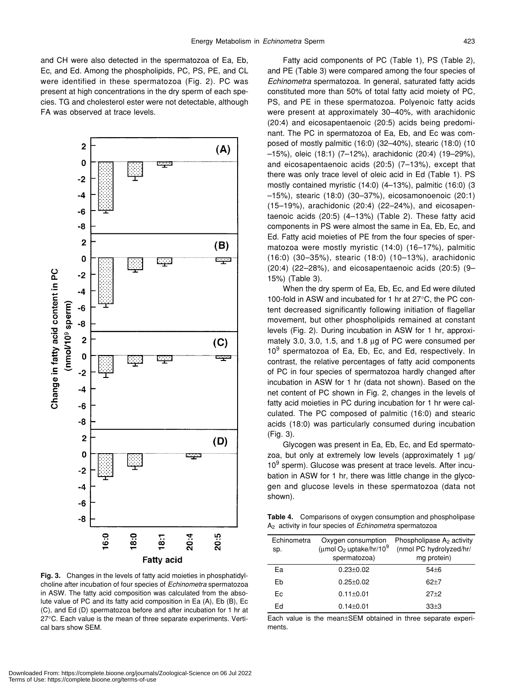and CH were also detected in the spermatozoa of Ea, Eb, Ec, and Ed. Among the phospholipids, PC, PS, PE, and CL were identified in these spermatozoa (Fig. 2). PC was present at high concentrations in the dry sperm of each species. TG and cholesterol ester were not detectable, although FA was observed at trace levels.



**Fig. 3.** Changes in the levels of fatty acid moieties in phosphatidylcholine after incubation of four species of *Echinometra* spermatozoa in ASW. The fatty acid composition was calculated from the absolute value of PC and its fatty acid composition in Ea (A), Eb (B), Ec (C), and Ed (D) spermatozoa before and after incubation for 1 hr at 27°C. Each value is the mean of three separate experiments. Vertical bars show SEM.

Fatty acid components of PC (Table 1), PS (Table 2), and PE (Table 3) were compared among the four species of *Echinometra* spermatozoa. In general, saturated fatty acids constituted more than 50% of total fatty acid moiety of PC, PS, and PE in these spermatozoa. Polyenoic fatty acids were present at approximately 30–40%, with arachidonic (20:4) and eicosapentaenoic (20:5) acids being predominant. The PC in spermatozoa of Ea, Eb, and Ec was composed of mostly palmitic (16:0) (32–40%), stearic (18:0) (10 –15%), oleic (18:1) (7–12%), arachidonic (20:4) (19–29%), and eicosapentaenoic acids (20:5) (7–13%), except that there was only trace level of oleic acid in Ed (Table 1). PS mostly contained myristic (14:0) (4–13%), palmitic (16:0) (3 –15%), stearic (18:0) (30–37%), eicosamonoenoic (20:1) (15–19%), arachidonic (20:4) (22–24%), and eicosapentaenoic acids (20:5) (4–13%) (Table 2). These fatty acid components in PS were almost the same in Ea, Eb, Ec, and Ed. Fatty acid moieties of PE from the four species of spermatozoa were mostly myristic (14:0) (16–17%), palmitic (16:0) (30–35%), stearic (18:0) (10–13%), arachidonic (20:4) (22–28%), and eicosapentaenoic acids (20:5) (9– 15%) (Table 3).

When the dry sperm of Ea, Eb, Ec, and Ed were diluted 100-fold in ASW and incubated for 1 hr at 27°C, the PC content decreased significantly following initiation of flagellar movement, but other phospholipids remained at constant levels (Fig. 2). During incubation in ASW for 1 hr, approximately 3.0, 3.0, 1.5, and 1.8 µg of PC were consumed per 10<sup>9</sup> spermatozoa of Ea, Eb, Ec, and Ed, respectively. In contrast, the relative percentages of fatty acid components of PC in four species of spermatozoa hardly changed after incubation in ASW for 1 hr (data not shown). Based on the net content of PC shown in Fig. 2, changes in the levels of fatty acid moieties in PC during incubation for 1 hr were calculated. The PC composed of palmitic (16:0) and stearic acids (18:0) was particularly consumed during incubation (Fig. 3).

Glycogen was present in Ea, Eb, Ec, and Ed spermatozoa, but only at extremely low levels (approximately 1  $\mu$ g/ 10<sup>9</sup> sperm). Glucose was present at trace levels. After incubation in ASW for 1 hr, there was little change in the glycogen and glucose levels in these spermatozoa (data not shown).

**Table 4.** Comparisons of oxygen consumption and phospholipase A2 activity in four species of *Echinometra* spermatozoa

| Echinometra<br>sp. | Oxygen consumption<br>(umol O <sub>2</sub> uptake/hr/10 <sup>9</sup><br>spermatozoa) | Phospholipase $A_2$ activity<br>(nmol PC hydrolyzed/hr/<br>mg protein) |
|--------------------|--------------------------------------------------------------------------------------|------------------------------------------------------------------------|
| Eа                 | $0.23 + 0.02$                                                                        | $54 + 6$                                                               |
| Eb                 | $0.25 + 0.02$                                                                        | $62 + 7$                                                               |
| Fc.                | $0.11 \pm 0.01$                                                                      | $27+2$                                                                 |
| Ed                 | $0.14 \pm 0.01$                                                                      | $33+3$                                                                 |

Each value is the mean±SEM obtained in three separate experiments.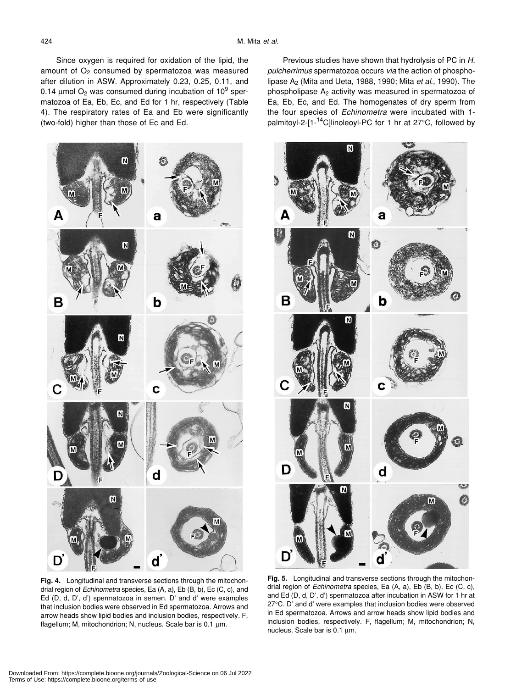Since oxygen is required for oxidation of the lipid, the amount of  $O<sub>2</sub>$  consumed by spermatozoa was measured after dilution in ASW. Approximately 0.23, 0.25, 0.11, and 0.14  $\mu$ mol O<sub>2</sub> was consumed during incubation of 10<sup>9</sup> spermatozoa of Ea, Eb, Ec, and Ed for 1 hr, respectively (Table 4). The respiratory rates of Ea and Eb were significantly (two-fold) higher than those of Ec and Ed.



**Fig. 4.** Longitudinal and transverse sections through the mitochondrial region of *Echinometra* species, Ea (A, a), Eb (B, b), Ec (C, c), and Ed (D, d, D', d') spermatozoa in semen. D' and d' were examples that inclusion bodies were observed in Ed spermatozoa. Arrows and arrow heads show lipid bodies and inclusion bodies, respectively. F, flagellum; M, mitochondrion; N, nucleus. Scale bar is 0.1 µm.

Previous studies have shown that hydrolysis of PC in *H. pulcherrimus* spermatozoa occurs *via* the action of phospholipase A2 (Mita and Ueta, 1988, 1990; Mita *et al*., 1990). The phospholipase A2 activity was measured in spermatozoa of Ea, Eb, Ec, and Ed. The homogenates of dry sperm from the four species of *Echinometra* were incubated with 1 palmitoyl-2- $[1 - 14C]$ linoleoyl-PC for 1 hr at 27 $\degree$ C, followed by



**Fig. 5.** Longitudinal and transverse sections through the mitochondrial region of *Echinometra* species, Ea (A, a), Eb (B, b), Ec (C, c), and Ed (D, d, D', d') spermatozoa after incubation in ASW for 1 hr at 27°C. D' and d' were examples that inclusion bodies were observed in Ed spermatozoa. Arrows and arrow heads show lipid bodies and inclusion bodies, respectively. F, flagellum; M, mitochondrion; N, nucleus. Scale bar is 0.1 µm.

Downloaded From: https://complete.bioone.org/journals/Zoological-Science on 06 Jul 2022 Terms of Use: https://complete.bioone.org/terms-of-use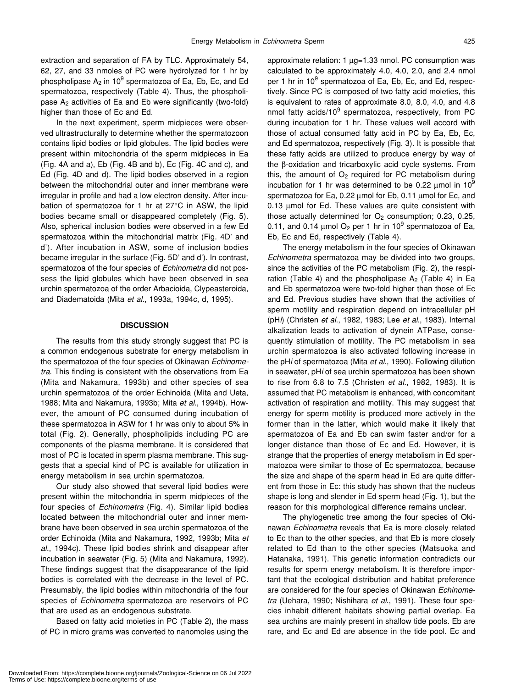extraction and separation of FA by TLC. Approximately 54, 62, 27, and 33 nmoles of PC were hydrolyzed for 1 hr by phospholipase  $\mathsf{A}_2$  in 10 $^9$  spermatozoa of Ea, Eb, Ec, and Ed spermatozoa, respectively (Table 4). Thus, the phospholipase  $A_2$  activities of Ea and Eb were significantly (two-fold) higher than those of Ec and Ed.

In the next experiment, sperm midpieces were observed ultrastructurally to determine whether the spermatozoon contains lipid bodies or lipid globules. The lipid bodies were present within mitochondria of the sperm midpieces in Ea (Fig. 4A and a), Eb (Fig. 4B and b), Ec (Fig. 4C and c), and Ed (Fig. 4D and d). The lipid bodies observed in a region between the mitochondrial outer and inner membrane were irregular in profile and had a low electron density. After incubation of spermatozoa for 1 hr at 27°C in ASW, the lipid bodies became small or disappeared completely (Fig. 5). Also, spherical inclusion bodies were observed in a few Ed spermatozoa within the mitochondrial matrix (Fig. 4D' and d'). After incubation in ASW, some of inclusion bodies became irregular in the surface (Fig. 5D' and d'). In contrast, spermatozoa of the four species of *Echinometra* did not possess the lipid globules which have been observed in sea urchin spermatozoa of the order Arbacioida, Clypeasteroida, and Diadematoida (Mita *et al*., 1993a, 1994c, d, 1995).

### **DISCUSSION**

The results from this study strongly suggest that PC is a common endogenous substrate for energy metabolism in the spermatozoa of the four species of Okinawan *Echinometra*. This finding is consistent with the observations from Ea (Mita and Nakamura, 1993b) and other species of sea urchin spermatozoa of the order Echinoida (Mita and Ueta, 1988; Mita and Nakamura, 1993b; Mita *et al*., 1994b). However, the amount of PC consumed during incubation of these spermatozoa in ASW for 1 hr was only to about 5% in total (Fig. 2). Generally, phospholipids including PC are components of the plasma membrane. It is considered that most of PC is located in sperm plasma membrane. This suggests that a special kind of PC is available for utilization in energy metabolism in sea urchin spermatozoa.

Our study also showed that several lipid bodies were present within the mitochondria in sperm midpieces of the four species of *Echinometra* (Fig. 4). Similar lipid bodies located between the mitochondrial outer and inner membrane have been observed in sea urchin spermatozoa of the order Echinoida (Mita and Nakamura, 1992, 1993b; Mita *et al*., 1994c). These lipid bodies shrink and disappear after incubation in seawater (Fig. 5) (Mita and Nakamura, 1992). These findings suggest that the disappearance of the lipid bodies is correlated with the decrease in the level of PC. Presumably, the lipid bodies within mitochondria of the four species of *Echinometra* spermatozoa are reservoirs of PC that are used as an endogenous substrate.

Based on fatty acid moieties in PC (Table 2), the mass of PC in micro grams was converted to nanomoles using the approximate relation: 1 µg=1.33 nmol. PC consumption was calculated to be approximately 4.0, 4.0, 2.0, and 2.4 nmol per 1 hr in 10<sup>9</sup> spermatozoa of Ea, Eb, Ec, and Ed, respectively. Since PC is composed of two fatty acid moieties, this is equivalent to rates of approximate 8.0, 8.0, 4.0, and 4.8 nmol fatty acids/10<sup>9</sup> spermatozoa, respectively, from PC during incubation for 1 hr. These values well accord with those of actual consumed fatty acid in PC by Ea, Eb, Ec, and Ed spermatozoa, respectively (Fig. 3). It is possible that these fatty acids are utilized to produce energy by way of the β-oxidation and tricarboxylic acid cycle systems. From this, the amount of  $O<sub>2</sub>$  required for PC metabolism during incubation for 1 hr was determined to be 0.22  $\mu$ mol in 10<sup>9</sup> spermatozoa for Ea, 0.22  $\mu$ mol for Eb, 0.11  $\mu$ mol for Ec, and 0.13 µmol for Ed. These values are quite consistent with those actually determined for  $O<sub>2</sub>$  consumption; 0.23, 0.25, 0.11, and 0.14  $\mu$ mol O<sub>2</sub> per 1 hr in 10<sup>9</sup> spermatozoa of Ea, Eb, Ec and Ed, respectively (Table 4).

The energy metabolism in the four species of Okinawan *Echinometra* spermatozoa may be divided into two groups, since the activities of the PC metabolism (Fig. 2), the respiration (Table 4) and the phospholipase  $A_2$  (Table 4) in Ea and Eb spermatozoa were two-fold higher than those of Ec and Ed. Previous studies have shown that the activities of sperm motility and respiration depend on intracellular pH (pH*i*) (Christen *et al*., 1982, 1983; Lee *et al*., 1983). Internal alkalization leads to activation of dynein ATPase, consequently stimulation of motility. The PC metabolism in sea urchin spermatozoa is also activated following increase in the pH*i* of spermatozoa (Mita *et al*., 1990). Following dilution in seawater, pH*i* of sea urchin spermatozoa has been shown to rise from 6.8 to 7.5 (Christen *et al*., 1982, 1983). It is assumed that PC metabolism is enhanced, with concomitant activation of respiration and motility. This may suggest that energy for sperm motility is produced more actively in the former than in the latter, which would make it likely that spermatozoa of Ea and Eb can swim faster and/or for a longer distance than those of Ec and Ed. However, it is strange that the properties of energy metabolism in Ed spermatozoa were similar to those of Ec spermatozoa, because the size and shape of the sperm head in Ed are quite different from those in Ec: this study has shown that the nucleus shape is long and slender in Ed sperm head (Fig. 1), but the reason for this morphological difference remains unclear.

The phylogenetic tree among the four species of Okinawan *Echinometra* reveals that Ea is more closely related to Ec than to the other species, and that Eb is more closely related to Ed than to the other species (Matsuoka and Hatanaka, 1991). This genetic information contradicts our results for sperm energy metabolism. It is therefore important that the ecological distribution and habitat preference are considered for the four species of Okinawan *Echinometra* (Uehara, 1990; Nishihara *et al*., 1991). These four species inhabit different habitats showing partial overlap. Ea sea urchins are mainly present in shallow tide pools. Eb are rare, and Ec and Ed are absence in the tide pool. Ec and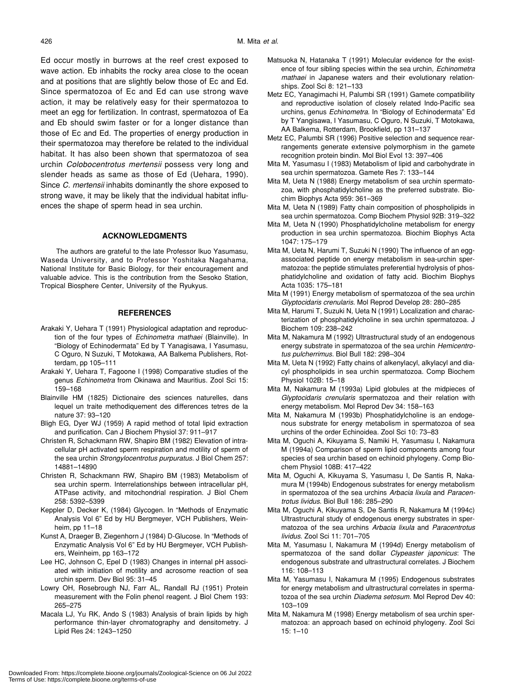Ed occur mostly in burrows at the reef crest exposed to wave action. Eb inhabits the rocky area close to the ocean and at positions that are slightly below those of Ec and Ed. Since spermatozoa of Ec and Ed can use strong wave action, it may be relatively easy for their spermatozoa to meet an egg for fertilization. In contrast, spermatozoa of Ea and Eb should swim faster or for a longer distance than those of Ec and Ed. The properties of energy production in their spermatozoa may therefore be related to the individual habitat. It has also been shown that spermatozoa of sea urchin *Colobocentrotus mertensii* possess very long and slender heads as same as those of Ed (Uehara, 1990). Since *C. mertensii* inhabits dominantly the shore exposed to strong wave, it may be likely that the individual habitat influences the shape of sperm head in sea urchin.

# **ACKNOWLEDGMENTS**

The authors are grateful to the late Professor Ikuo Yasumasu, Waseda University, and to Professor Yoshitaka Nagahama, National Institute for Basic Biology, for their encouragement and valuable advice. This is the contribution from the Sesoko Station, Tropical Biosphere Center, University of the Ryukyus.

#### **REFERENCES**

- Arakaki Y, Uehara T (1991) Physiological adaptation and reproduction of the four types of *Echinometra mathaei* (Blainville). In "Biology of Echinodermata" Ed by T Yanagisawa, I Yasumasu, C Oguro, N Suzuki, T Motokawa, AA Balkema Publishers, Rotterdam, pp 105–111
- Arakaki Y, Uehara T, Fagoone I (1998) Comparative studies of the genus *Echinometra* from Okinawa and Mauritius. Zool Sci 15: 159–168
- Blainville HM (1825) Dictionaire des sciences naturelles, dans lequel un traite methodiquement des differences tetres de la nature 37: 93–120
- Bligh EG, Dyer WJ (1959) A rapid method of total lipid extraction and purification. Can J Biochem Physiol 37: 911–917
- Christen R, Schackmann RW, Shapiro BM (1982) Elevation of intracellular pH activated sperm respiration and motility of sperm of the sea urchin *Strongylocentrotus purpuratus*. J Biol Chem 257: 14881–14890
- Christen R, Schackmann RW, Shapiro BM (1983) Metabolism of sea urchin sperm. Interrelationships between intracellular pH, ATPase activity, and mitochondrial respiration. J Biol Chem 258: 5392–5399
- Keppler D, Decker K, (1984) Glycogen. In "Methods of Enzymatic Analysis Vol 6" Ed by HU Bergmeyer, VCH Publishers, Weinheim, pp 11–18
- Kunst A, Draeger B, Ziegenhorn J (1984) D-Glucose. In "Methods of Enzymatic Analysis Vol 6" Ed by HU Bergmeyer, VCH Publishers, Weinheim, pp 163–172
- Lee HC, Johnson C, Epel D (1983) Changes in internal pH associated with initiation of motility and acrosome reaction of sea urchin sperm. Dev Biol 95: 31–45
- Lowry OH, Rosebrough NJ, Farr AL, Randall RJ (1951) Protein measurement with the Folin phenol reagent. J Biol Chem 193: 265–275
- Macala LJ, Yu RK, Ando S (1983) Analysis of brain lipids by high performance thin-layer chromatography and densitometry. J Lipid Res 24: 1243–1250
- Matsuoka N, Hatanaka T (1991) Molecular evidence for the existence of four sibling species within the sea urchin, *Echinometra mathaei* in Japanese waters and their evolutionary relationships. Zool Sci 8: 121–133
- Metz EC, Yanagimachi H, Palumbi SR (1991) Gamete compatibility and reproductive isolation of closely related Indo-Pacific sea urchins, genus *Echinometra*. In "Biology of Echinodermata" Ed by T Yangisawa, I Yasumasu, C Oguro, N Suzuki, T Motokawa, AA Balkema, Rotterdam, Brookfield, pp 131–137
- Metz EC, Palumbi SR (1996) Positive selection and sequence rearrangements generate extensive polymorphism in the gamete recognition protein bindin. Mol Biol Evol 13: 397–406
- Mita M, Yasumasu I (1983) Metabolism of lipid and carbohydrate in sea urchin spermatozoa. Gamete Res 7: 133–144
- Mita M, Ueta N (1988) Energy metabolism of sea urchin spermatozoa, with phosphatidylcholine as the preferred substrate. Biochim Biophys Acta 959: 361–369
- Mita M, Ueta N (1989) Fatty chain composition of phospholipids in sea urchin spermatozoa. Comp Biochem Physiol 92B: 319–322
- Mita M, Ueta N (1990) Phosphatidylcholine metabolism for energy production in sea urchin spermatozoa. Biochim Biophys Acta 1047: 175–179
- Mita M, Ueta N, Harumi T, Suzuki N (1990) The influence of an eggassociated peptide on energy metabolism in sea-urchin spermatozoa: the peptide stimulates preferential hydrolysis of phosphatidylcholine and oxidation of fatty acid. Biochim Biophys Acta 1035: 175–181
- Mita M (1991) Energy metabolism of spermatozoa of the sea urchin *Glyptocidaris crenularis*. Mol Reprod Develop 28: 280–285
- Mita M, Harumi T, Suzuki N, Ueta N (1991) Localization and characterization of phosphatidylcholine in sea urchin spermatozoa. J Biochem 109: 238–242
- Mita M, Nakamura M (1992) Ultrastructural study of an endogenous energy substrate in spermatozoa of the sea urchin *Hemicentrotus pulcherrimus*. Biol Bull 182: 298–304
- Mita M, Ueta N (1992) Fatty chains of alkenylacyl, alkylacyl and diacyl phospholipids in sea urchin spermatozoa. Comp Biochem Physiol 102B: 15–18
- Mita M, Nakamura M (1993a) Lipid globules at the midpieces of *Glyptocidaris crenularis* spermatozoa and their relation with energy metabolism. Mol Reprod Dev 34: 158–163
- Mita M, Nakamura M (1993b) Phosphatidylcholine is an endogenous substrate for energy metabolism in spermatozoa of sea urchins of the order Echinoidea. Zool Sci 10: 73–83
- Mita M, Oguchi A, Kikuyama S, Namiki H, Yasumasu I, Nakamura M (1994a) Comparison of sperm lipid components among four species of sea urchin based on echinoid phylogeny. Comp Biochem Physiol 108B: 417–422
- Mita M, Oguchi A, Kikuyama S, Yasumasu I, De Santis R, Nakamura M (1994b) Endogenous substrates for energy metabolism in spermatozoa of the sea urchins *Arbacia lixula* and *Paracentrotus lividus*. Biol Bull 186: 285–290
- Mita M, Oguchi A, Kikuyama S, De Santis R, Nakamura M (1994c) Ultrastructural study of endogenous energy substrates in spermatozoa of the sea urchins *Arbacia lixula* and *Paracentrotus lividus*. Zool Sci 11: 701–705
- Mita M, Yasumasu I, Nakamura M (1994d) Energy metabolism of spermatozoa of the sand dollar *Clypeaster japonicus*: The endogenous substrate and ultrastructural correlates. J Biochem 116: 108–113
- Mita M, Yasumasu I, Nakamura M (1995) Endogenous substrates for energy metabolism and ultrastructural correlates in spermatozoa of the sea urchin *Diadema setosum*. Mol Reprod Dev 40: 103–109
- Mita M, Nakamura M (1998) Energy metabolism of sea urchin spermatozoa: an approach based on echinoid phylogeny. Zool Sci 15: 1–10